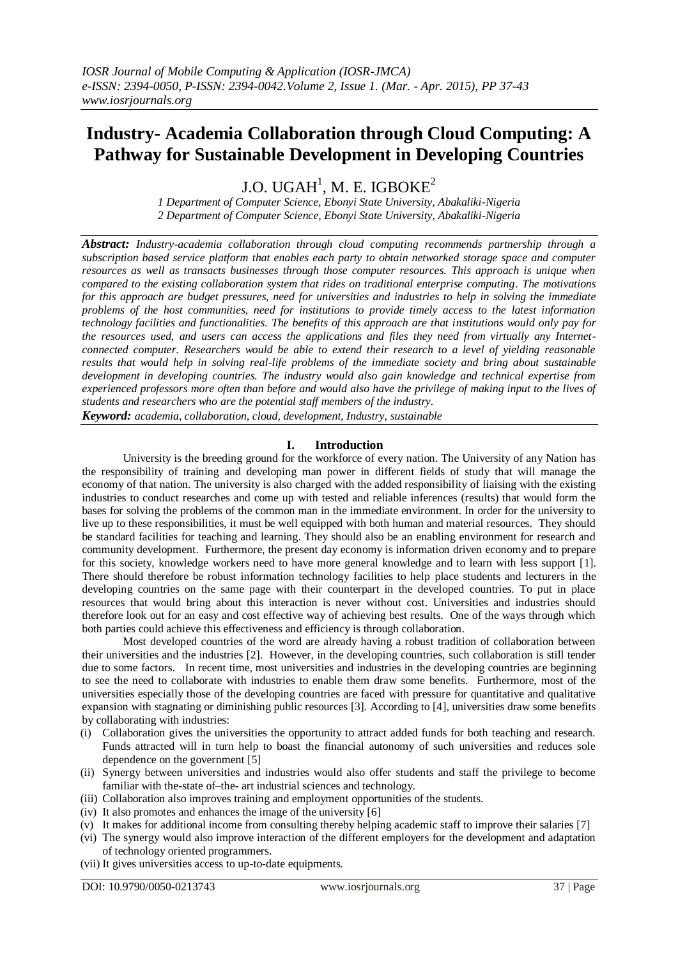# **Industry- Academia Collaboration through Cloud Computing: A Pathway for Sustainable Development in Developing Countries**

J.O. UGAH $^{\rm l}$ , M. E. IGBOKE $^{\rm 2}$ 

*1 Department of Computer Science, Ebonyi State University, Abakaliki-Nigeria 2 Department of Computer Science, Ebonyi State University, Abakaliki-Nigeria*

*Abstract: Industry-academia collaboration through cloud computing recommends partnership through a subscription based service platform that enables each party to obtain networked storage space and computer resources as well as transacts businesses through those computer resources. This approach is unique when compared to the existing collaboration system that rides on traditional enterprise computing. The motivations for this approach are budget pressures, need for universities and industries to help in solving the immediate problems of the host communities, need for institutions to provide timely access to the latest information technology facilities and functionalities. The benefits of this approach are that institutions would only pay for the resources used, and users can access the applications and files they need from virtually any Internetconnected computer. Researchers would be able to extend their research to a level of yielding reasonable results that would help in solving real-life problems of the immediate society and bring about sustainable development in developing countries. The industry would also gain knowledge and technical expertise from experienced professors more often than before and would also have the privilege of making input to the lives of students and researchers who are the potential staff members of the industry.*

*Keyword: academia, collaboration, cloud, development, Industry, sustainable* 

## **I. Introduction**

University is the breeding ground for the workforce of every nation. The University of any Nation has the responsibility of training and developing man power in different fields of study that will manage the economy of that nation. The university is also charged with the added responsibility of liaising with the existing industries to conduct researches and come up with tested and reliable inferences (results) that would form the bases for solving the problems of the common man in the immediate environment. In order for the university to live up to these responsibilities, it must be well equipped with both human and material resources. They should be standard facilities for teaching and learning. They should also be an enabling environment for research and community development. Furthermore, the present day economy is information driven economy and to prepare for this society, knowledge workers need to have more general knowledge and to learn with less support [1]. There should therefore be robust information technology facilities to help place students and lecturers in the developing countries on the same page with their counterpart in the developed countries. To put in place resources that would bring about this interaction is never without cost. Universities and industries should therefore look out for an easy and cost effective way of achieving best results. One of the ways through which both parties could achieve this effectiveness and efficiency is through collaboration.

Most developed countries of the word are already having a robust tradition of collaboration between their universities and the industries [2]. However, in the developing countries, such collaboration is still tender due to some factors. In recent time, most universities and industries in the developing countries are beginning to see the need to collaborate with industries to enable them draw some benefits. Furthermore, most of the universities especially those of the developing countries are faced with pressure for quantitative and qualitative expansion with stagnating or diminishing public resources [3]. According to [4], universities draw some benefits by collaborating with industries:

- (i) Collaboration gives the universities the opportunity to attract added funds for both teaching and research. Funds attracted will in turn help to boast the financial autonomy of such universities and reduces sole dependence on the government [5]
- (ii) Synergy between universities and industries would also offer students and staff the privilege to become familiar with the-state of–the- art industrial sciences and technology.
- (iii) Collaboration also improves training and employment opportunities of the students.
- (iv) It also promotes and enhances the image of the university [6]
- (v) It makes for additional income from consulting thereby helping academic staff to improve their salaries [7]
- (vi) The synergy would also improve interaction of the different employers for the development and adaptation of technology oriented programmers.
- (vii) It gives universities access to up-to-date equipments.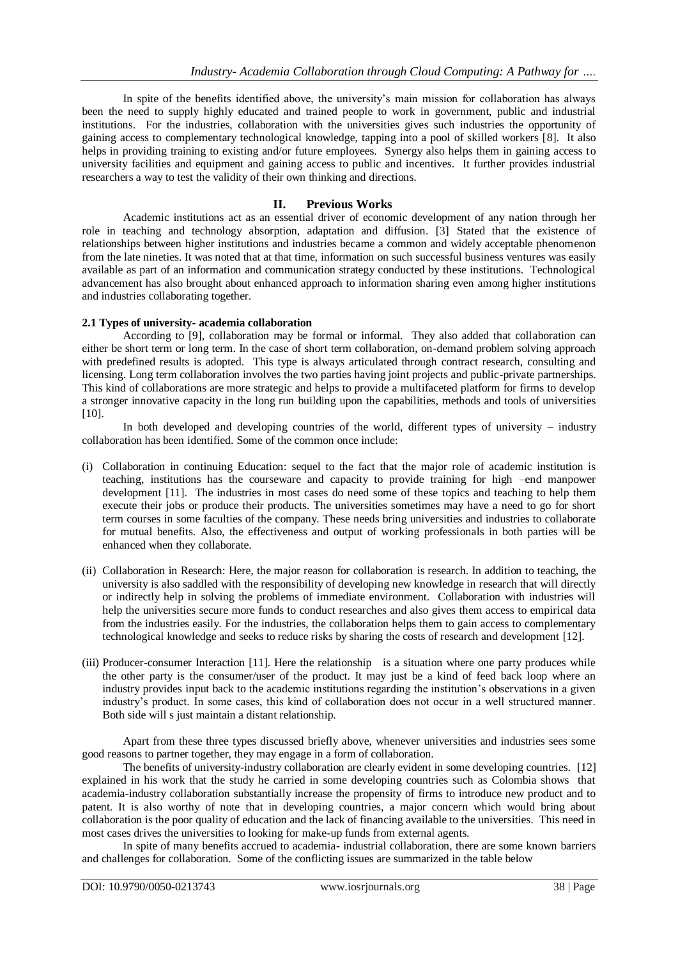In spite of the benefits identified above, the university's main mission for collaboration has always been the need to supply highly educated and trained people to work in government, public and industrial institutions. For the industries, collaboration with the universities gives such industries the opportunity of gaining access to complementary technological knowledge, tapping into a pool of skilled workers [8]. It also helps in providing training to existing and/or future employees. Synergy also helps them in gaining access to university facilities and equipment and gaining access to public and incentives. It further provides industrial researchers a way to test the validity of their own thinking and directions.

## **II. Previous Works**

Academic institutions act as an essential driver of economic development of any nation through her role in teaching and technology absorption, adaptation and diffusion. [3] Stated that the existence of relationships between higher institutions and industries became a common and widely acceptable phenomenon from the late nineties. It was noted that at that time, information on such successful business ventures was easily available as part of an information and communication strategy conducted by these institutions. Technological advancement has also brought about enhanced approach to information sharing even among higher institutions and industries collaborating together.

## **2.1 Types of university- academia collaboration**

According to [9], collaboration may be formal or informal. They also added that collaboration can either be short term or long term. In the case of short term collaboration, on-demand problem solving approach with predefined results is adopted. This type is always articulated through contract research, consulting and licensing. Long term collaboration involves the two parties having joint projects and public-private partnerships. This kind of collaborations are more strategic and helps to provide a multifaceted platform for firms to develop a stronger innovative capacity in the long run building upon the capabilities, methods and tools of universities [10].

In both developed and developing countries of the world, different types of university – industry collaboration has been identified. Some of the common once include:

- (i) Collaboration in continuing Education: sequel to the fact that the major role of academic institution is teaching, institutions has the courseware and capacity to provide training for high –end manpower development [11]. The industries in most cases do need some of these topics and teaching to help them execute their jobs or produce their products. The universities sometimes may have a need to go for short term courses in some faculties of the company. These needs bring universities and industries to collaborate for mutual benefits. Also, the effectiveness and output of working professionals in both parties will be enhanced when they collaborate.
- (ii) Collaboration in Research: Here, the major reason for collaboration is research. In addition to teaching, the university is also saddled with the responsibility of developing new knowledge in research that will directly or indirectly help in solving the problems of immediate environment. Collaboration with industries will help the universities secure more funds to conduct researches and also gives them access to empirical data from the industries easily. For the industries, the collaboration helps them to gain access to complementary technological knowledge and seeks to reduce risks by sharing the costs of research and development [12].
- (iii) Producer-consumer Interaction [11]. Here the relationship is a situation where one party produces while the other party is the consumer/user of the product. It may just be a kind of feed back loop where an industry provides input back to the academic institutions regarding the institution's observations in a given industry's product. In some cases, this kind of collaboration does not occur in a well structured manner. Both side will s just maintain a distant relationship.

Apart from these three types discussed briefly above, whenever universities and industries sees some good reasons to partner together, they may engage in a form of collaboration.

The benefits of university-industry collaboration are clearly evident in some developing countries. [12] explained in his work that the study he carried in some developing countries such as Colombia shows that academia-industry collaboration substantially increase the propensity of firms to introduce new product and to patent. It is also worthy of note that in developing countries, a major concern which would bring about collaboration is the poor quality of education and the lack of financing available to the universities. This need in most cases drives the universities to looking for make-up funds from external agents.

In spite of many benefits accrued to academia- industrial collaboration, there are some known barriers and challenges for collaboration. Some of the conflicting issues are summarized in the table below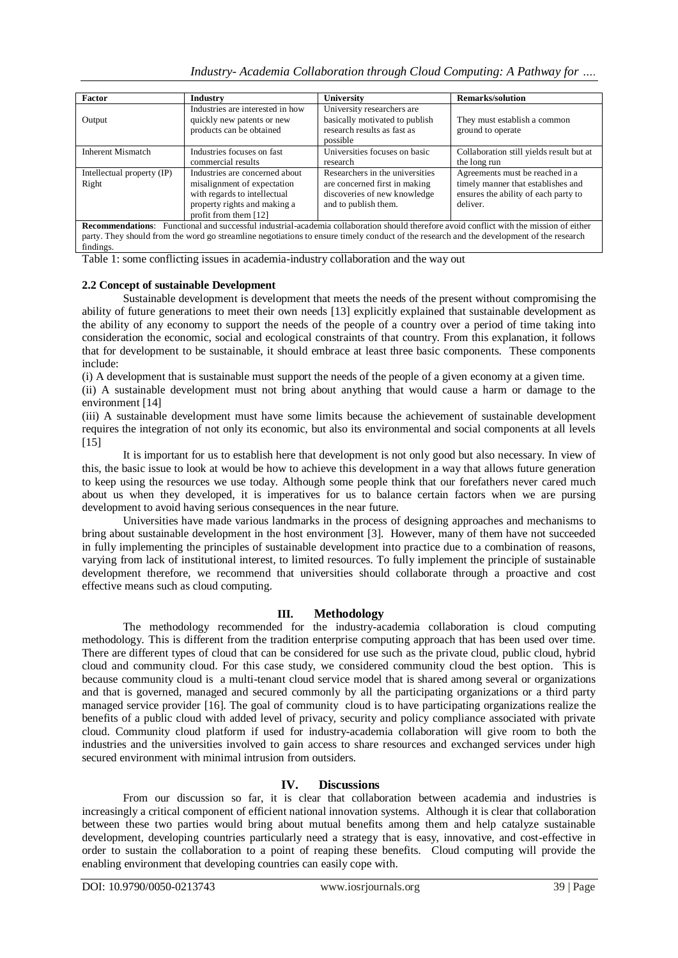*Industry- Academia Collaboration through Cloud Computing: A Pathway for ….*

| <b>Factor</b>                                                                                                                                                                                                                                                                              | <b>Industry</b>                                                                                                                                          | University                                                                                                               | <b>Remarks/solution</b>                                                                                                   |
|--------------------------------------------------------------------------------------------------------------------------------------------------------------------------------------------------------------------------------------------------------------------------------------------|----------------------------------------------------------------------------------------------------------------------------------------------------------|--------------------------------------------------------------------------------------------------------------------------|---------------------------------------------------------------------------------------------------------------------------|
| Output                                                                                                                                                                                                                                                                                     | Industries are interested in how<br>quickly new patents or new<br>products can be obtained                                                               | University researchers are<br>basically motivated to publish<br>research results as fast as<br>possible                  | They must establish a common<br>ground to operate                                                                         |
| <b>Inherent Mismatch</b>                                                                                                                                                                                                                                                                   | Industries focuses on fast<br>commercial results                                                                                                         | Universities focuses on basic<br>research                                                                                | Collaboration still yields result but at<br>the long run                                                                  |
| Intellectual property (IP)<br>Right                                                                                                                                                                                                                                                        | Industries are concerned about<br>misalignment of expectation<br>with regards to intellectual<br>property rights and making a<br>profit from them $[12]$ | Researchers in the universities<br>are concerned first in making<br>discoveries of new knowledge<br>and to publish them. | Agreements must be reached in a<br>timely manner that establishes and<br>ensures the ability of each party to<br>deliver. |
| <b>Recommendations:</b> Functional and successful industrial-academia collaboration should therefore avoid conflict with the mission of either<br>party. They should from the word go streamline negotiations to ensure timely conduct of the research and the development of the research |                                                                                                                                                          |                                                                                                                          |                                                                                                                           |

Table 1: some conflicting issues in academia-industry collaboration and the way out

## **2.2 Concept of sustainable Development**

findings.

Sustainable development is development that meets the needs of the present without compromising the ability of future generations to meet their own needs [13] explicitly explained that sustainable development as the ability of any economy to support the needs of the people of a country over a period of time taking into consideration the economic, social and ecological constraints of that country. From this explanation, it follows that for development to be sustainable, it should embrace at least three basic components. These components include:

(i) A development that is sustainable must support the needs of the people of a given economy at a given time.

(ii) A sustainable development must not bring about anything that would cause a harm or damage to the environment [14]

(iii) A sustainable development must have some limits because the achievement of sustainable development requires the integration of not only its economic, but also its environmental and social components at all levels  $[15]$ 

It is important for us to establish here that development is not only good but also necessary. In view of this, the basic issue to look at would be how to achieve this development in a way that allows future generation to keep using the resources we use today. Although some people think that our forefathers never cared much about us when they developed, it is imperatives for us to balance certain factors when we are pursing development to avoid having serious consequences in the near future.

Universities have made various landmarks in the process of designing approaches and mechanisms to bring about sustainable development in the host environment [3]. However, many of them have not succeeded in fully implementing the principles of sustainable development into practice due to a combination of reasons, varying from lack of institutional interest, to limited resources. To fully implement the principle of sustainable development therefore, we recommend that universities should collaborate through a proactive and cost effective means such as cloud computing.

# **III. Methodology**

The methodology recommended for the industry-academia collaboration is cloud computing methodology. This is different from the tradition enterprise computing approach that has been used over time. There are different types of cloud that can be considered for use such as the private cloud, public cloud, hybrid cloud and community cloud. For this case study, we considered community cloud the best option. This is because community cloud is a multi-tenant cloud service model that is shared among several or organizations and that is governed, managed and secured commonly by all the participating organizations or a third party managed service provider [16]. The goal of community cloud is to have participating organizations realize the benefits of a public cloud with added level of privacy, security and policy compliance associated with private cloud. Community cloud platform if used for industry-academia collaboration will give room to both the industries and the universities involved to gain access to share resources and exchanged services under high secured environment with minimal intrusion from outsiders.

# **IV. Discussions**

From our discussion so far, it is clear that collaboration between academia and industries is increasingly a critical component of efficient national innovation systems. Although it is clear that collaboration between these two parties would bring about mutual benefits among them and help catalyze sustainable development, developing countries particularly need a strategy that is easy, innovative, and cost-effective in order to sustain the collaboration to a point of reaping these benefits. Cloud computing will provide the enabling environment that developing countries can easily cope with.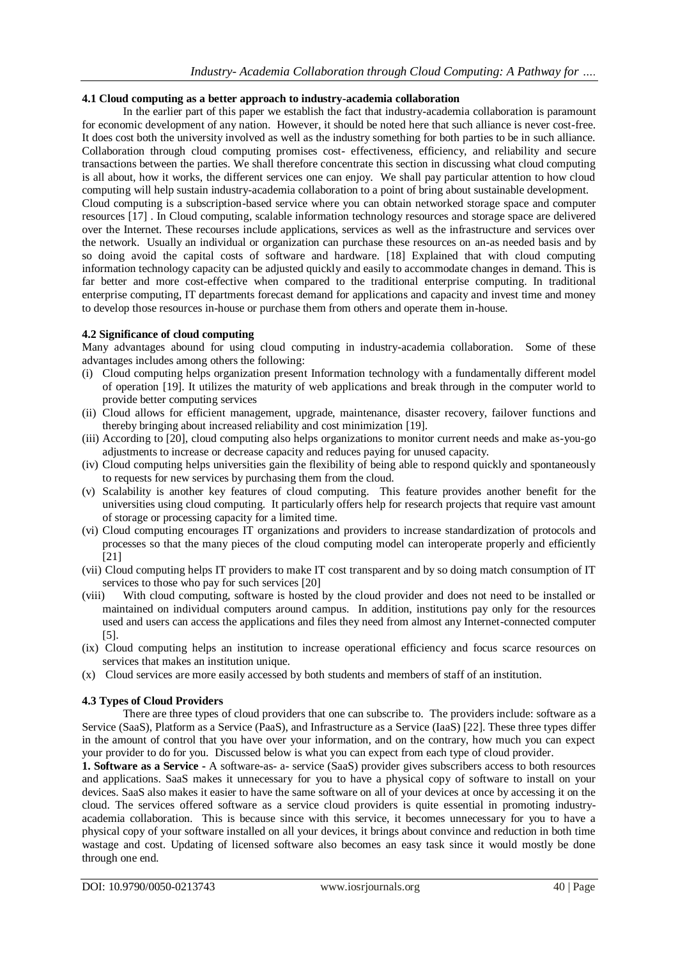## **4.1 Cloud computing as a better approach to industry-academia collaboration**

In the earlier part of this paper we establish the fact that industry-academia collaboration is paramount for economic development of any nation. However, it should be noted here that such alliance is never cost-free. It does cost both the university involved as well as the industry something for both parties to be in such alliance. Collaboration through cloud computing promises cost- effectiveness, efficiency, and reliability and secure transactions between the parties. We shall therefore concentrate this section in discussing what cloud computing is all about, how it works, the different services one can enjoy. We shall pay particular attention to how cloud computing will help sustain industry-academia collaboration to a point of bring about sustainable development. Cloud computing is a subscription-based service where you can obtain networked storage space and computer resources [17] . In Cloud computing, scalable information technology resources and storage space are delivered over the Internet. These recourses include applications, services as well as the infrastructure and services over the network. Usually an individual or organization can purchase these resources on an-as needed basis and by so doing avoid the capital costs of software and hardware. [18] Explained that with cloud computing information technology capacity can be adjusted quickly and easily to accommodate changes in demand. This is far better and more cost-effective when compared to the traditional enterprise computing. In traditional enterprise computing, IT departments forecast demand for applications and capacity and invest time and money to develop those resources in-house or purchase them from others and operate them in-house.

#### **4.2 Significance of cloud computing**

Many advantages abound for using cloud computing in industry-academia collaboration. Some of these advantages includes among others the following:

- (i) Cloud computing helps organization present Information technology with a fundamentally different model of operation [19]. It utilizes the maturity of web applications and break through in the computer world to provide better computing services
- (ii) Cloud allows for efficient management, upgrade, maintenance, disaster recovery, failover functions and thereby bringing about increased reliability and cost minimization [19].
- (iii) According to [20], cloud computing also helps organizations to monitor current needs and make as-you-go adjustments to increase or decrease capacity and reduces paying for unused capacity.
- (iv) Cloud computing helps universities gain the flexibility of being able to respond quickly and spontaneously to requests for new services by purchasing them from the cloud.
- (v) Scalability is another key features of cloud computing. This feature provides another benefit for the universities using cloud computing. It particularly offers help for research projects that require vast amount of storage or processing capacity for a limited time.
- (vi) Cloud computing encourages IT organizations and providers to increase standardization of protocols and processes so that the many pieces of the cloud computing model can interoperate properly and efficiently [21]
- (vii) Cloud computing helps IT providers to make IT cost transparent and by so doing match consumption of IT services to those who pay for such services [20]
- (viii) With cloud computing, software is hosted by the cloud provider and does not need to be installed or maintained on individual computers around campus. In addition, institutions pay only for the resources used and users can access the applications and files they need from almost any Internet-connected computer [5].
- (ix) Cloud computing helps an institution to increase operational efficiency and focus scarce resources on services that makes an institution unique.
- (x) Cloud services are more easily accessed by both students and members of staff of an institution.

#### **4.3 Types of Cloud Providers**

There are three types of cloud providers that one can subscribe to. The providers include: software as a Service (SaaS), Platform as a Service (PaaS), and Infrastructure as a Service (IaaS) [22]. These three types differ in the amount of control that you have over your information, and on the contrary, how much you can expect your provider to do for you. Discussed below is what you can expect from each type of cloud provider.

**1. Software as a Service -** A software-as- a- service (SaaS) provider gives subscribers access to both resources and applications. SaaS makes it unnecessary for you to have a physical copy of software to install on your devices. SaaS also makes it easier to have the same software on all of your devices at once by accessing it on the cloud. The services offered software as a service cloud providers is quite essential in promoting industryacademia collaboration. This is because since with this service, it becomes unnecessary for you to have a physical copy of your software installed on all your devices, it brings about convince and reduction in both time wastage and cost. Updating of licensed software also becomes an easy task since it would mostly be done through one end.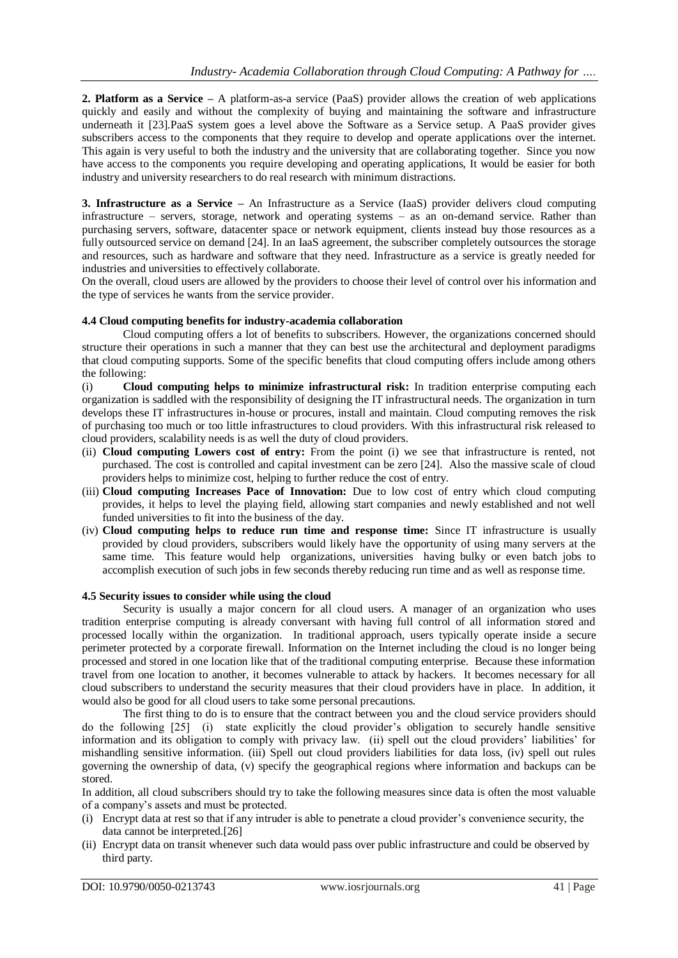**2. Platform as a Service –** A platform-as-a service (PaaS) provider allows the creation of web applications quickly and easily and without the complexity of buying and maintaining the software and infrastructure underneath it [23].PaaS system goes a level above the Software as a Service setup. A PaaS provider gives subscribers access to the components that they require to develop and operate applications over the internet. This again is very useful to both the industry and the university that are collaborating together. Since you now have access to the components you require developing and operating applications, It would be easier for both industry and university researchers to do real research with minimum distractions.

**3. Infrastructure as a Service –** An Infrastructure as a Service (IaaS) provider delivers cloud computing infrastructure – servers, storage, network and operating systems – as an on-demand service. Rather than purchasing servers, software, datacenter space or network equipment, clients instead buy those resources as a fully outsourced service on demand [24]. In an IaaS agreement, the subscriber completely outsources the storage and resources, such as hardware and software that they need. Infrastructure as a service is greatly needed for industries and universities to effectively collaborate.

On the overall, cloud users are allowed by the providers to choose their level of control over his information and the type of services he wants from the service provider.

### **4.4 Cloud computing benefits for industry-academia collaboration**

Cloud computing offers a lot of benefits to subscribers. However, the organizations concerned should structure their operations in such a manner that they can best use the architectural and deployment paradigms that cloud computing supports. Some of the specific benefits that cloud computing offers include among others the following:

(i) **Cloud computing helps to minimize infrastructural risk:** In tradition enterprise computing each organization is saddled with the responsibility of designing the IT infrastructural needs. The organization in turn develops these IT infrastructures in-house or procures, install and maintain. Cloud computing removes the risk of purchasing too much or too little infrastructures to cloud providers. With this infrastructural risk released to cloud providers, scalability needs is as well the duty of cloud providers.

- (ii) **Cloud computing Lowers cost of entry:** From the point (i) we see that infrastructure is rented, not purchased. The cost is controlled and capital investment can be zero [24]. Also the massive scale of cloud providers helps to minimize cost, helping to further reduce the cost of entry.
- (iii) **Cloud computing Increases Pace of Innovation:** Due to low cost of entry which cloud computing provides, it helps to level the playing field, allowing start companies and newly established and not well funded universities to fit into the business of the day.
- (iv) **Cloud computing helps to reduce run time and response time:** Since IT infrastructure is usually provided by cloud providers, subscribers would likely have the opportunity of using many servers at the same time. This feature would help organizations, universities having bulky or even batch jobs to accomplish execution of such jobs in few seconds thereby reducing run time and as well as response time.

#### **4.5 Security issues to consider while using the cloud**

Security is usually a major concern for all cloud users. A manager of an organization who uses tradition enterprise computing is already conversant with having full control of all information stored and processed locally within the organization. In traditional approach, users typically operate inside a secure perimeter protected by a corporate firewall. Information on the Internet including the cloud is no longer being processed and stored in one location like that of the traditional computing enterprise. Because these information travel from one location to another, it becomes vulnerable to attack by hackers. It becomes necessary for all cloud subscribers to understand the security measures that their cloud providers have in place. In addition, it would also be good for all cloud users to take some personal precautions.

The first thing to do is to ensure that the contract between you and the cloud service providers should do the following [25] (i) state explicitly the cloud provider's obligation to securely handle sensitive information and its obligation to comply with privacy law. (ii) spell out the cloud providers' liabilities' for mishandling sensitive information. (iii) Spell out cloud providers liabilities for data loss, (iv) spell out rules governing the ownership of data, (v) specify the geographical regions where information and backups can be stored.

In addition, all cloud subscribers should try to take the following measures since data is often the most valuable of a company's assets and must be protected.

- (i) Encrypt data at rest so that if any intruder is able to penetrate a cloud provider's convenience security, the data cannot be interpreted.[26]
- (ii) Encrypt data on transit whenever such data would pass over public infrastructure and could be observed by third party.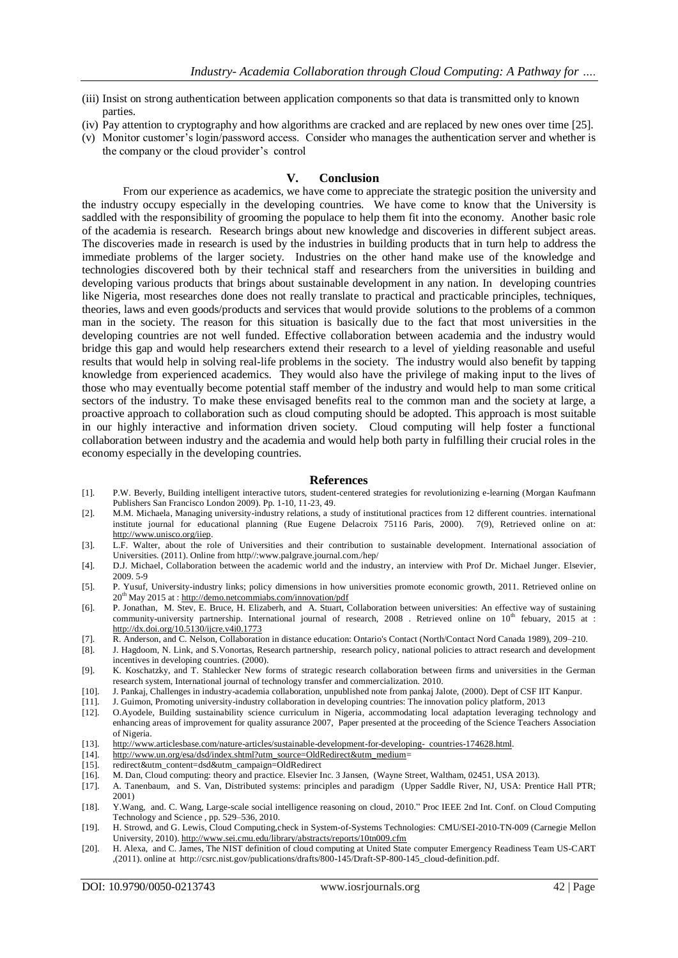- (iii) Insist on strong authentication between application components so that data is transmitted only to known parties.
- (iv) Pay attention to cryptography and how algorithms are cracked and are replaced by new ones over time [25].
- (v) Monitor customer's login/password access. Consider who manages the authentication server and whether is the company or the cloud provider's control

#### **V. Conclusion**

From our experience as academics, we have come to appreciate the strategic position the university and the industry occupy especially in the developing countries. We have come to know that the University is saddled with the responsibility of grooming the populace to help them fit into the economy. Another basic role of the academia is research. Research brings about new knowledge and discoveries in different subject areas. The discoveries made in research is used by the industries in building products that in turn help to address the immediate problems of the larger society. Industries on the other hand make use of the knowledge and technologies discovered both by their technical staff and researchers from the universities in building and developing various products that brings about sustainable development in any nation. In developing countries like Nigeria, most researches done does not really translate to practical and practicable principles, techniques, theories, laws and even goods/products and services that would provide solutions to the problems of a common man in the society. The reason for this situation is basically due to the fact that most universities in the developing countries are not well funded. Effective collaboration between academia and the industry would bridge this gap and would help researchers extend their research to a level of yielding reasonable and useful results that would help in solving real-life problems in the society. The industry would also benefit by tapping knowledge from experienced academics. They would also have the privilege of making input to the lives of those who may eventually become potential staff member of the industry and would help to man some critical sectors of the industry. To make these envisaged benefits real to the common man and the society at large, a proactive approach to collaboration such as cloud computing should be adopted. This approach is most suitable in our highly interactive and information driven society. Cloud computing will help foster a functional collaboration between industry and the academia and would help both party in fulfilling their crucial roles in the economy especially in the developing countries.

#### **References**

- [1]. P.W. Beverly, Building intelligent interactive tutors, student-centered strategies for revolutionizing e-learning (Morgan Kaufmann Publishers San Francisco London 2009). Pp. 1-10, 11-23, 49.
- [2]. M.M. Michaela, Managing university-industry relations, a study of institutional practices from 12 different countries. international institute journal for educational planning (Rue Eugene Delacroix 75116 Paris, 2000). 7(9), Retrieved online on at: [http://www.unisco.org/iiep.](http://www.unisco.org/iiep)
- [3]. L.F. Walter, about the role of Universities and their contribution to sustainable development. International association of Universities. (2011). Online from http//:www.palgrave.journal.com./hep/
- [4]. D.J. Michael, Collaboration between the academic world and the industry, an interview with Prof Dr. Michael Junger. Elsevier, 2009. 5-9
- [5]. P. Yusuf, University-industry links; policy dimensions in how universities promote economic growth, 2011. Retrieved online on 20<sup>th</sup> May 2015 at [: http://demo.netcommiabs.com/innovation/pdf](http://demo.netcommiabs.com/innovation/pdf)
- [6]. P. Jonathan, M. Stev, E. Bruce, H. Elizaberh, and A. Stuart, Collaboration between universities: An effective way of sustaining community-university partnership. International journal of research,  $2008$ . Retrieved online on  $10<sup>th</sup>$  febuary,  $2015$  at : <http://dx.doi.org/10.5130/ijcre.v4i0.1773>
- [7]. R. Anderson, and C. Nelson, Collaboration in distance education: Ontario's Contact (North/Contact Nord Canada 1989), 209–210.
- [8]. J. Hagdoom, N. Link, and S.Vonortas, Research partnership, research policy, national policies to attract research and development incentives in developing countries. (2000).
- [9]. K. Koschatzky, and T. Stahlecker New forms of strategic research collaboration between firms and universities in the German research system, International journal of technology transfer and commercialization. 2010.
- [10]. J. Pankaj, Challenges in industry-academia collaboration, unpublished note from pankaj Jalote, (2000). Dept of CSF IIT Kanpur.<br>[11]. J. Guimon, Promoting university-industry collaboration in developing countries: The
- [11]. J. Guimon, Promoting university-industry collaboration in developing countries: The innovation policy platform, 2013
- [12]. O.Ayodele, Building sustainability science curriculum in Nigeria, accommodating local adaptation leveraging technology and enhancing areas of improvement for quality assurance 2007, Paper presented at the proceeding of the Science Teachers Association of Nigeria.
- [13]. [http://www.articlesbase.com/nature-articles/sustainable-development-for-developing- countries-174628.html.](http://www.articlesbase.com/nature-articles/sustainable-development-for-developing-%20%20countries-174628.html)
- [14]. [http://www.un.org/esa/dsd/index.shtml?utm\\_source=OldRedirect&utm\\_medium=](http://www.un.org/esa/dsd/index.shtml?utm_source=OldRedirect&utm_medium)
- [15]. redirect&utm\_content=dsd&utm\_campaign=OldRedirect
- [16]. M. Dan, Cloud computing: theory and practice. Elsevier Inc. 3 Jansen, (Wayne Street, Waltham, 02451, USA 2013).
- [17]. A. Tanenbaum, and S. Van, Distributed systems: principles and paradigm (Upper Saddle River, NJ, USA: Prentice Hall PTR; 2001)
- [18]. Y.Wang, and. C. Wang, Large-scale social intelligence reasoning on cloud, 2010." Proc IEEE 2nd Int. Conf. on Cloud Computing Technology and Science , pp. 529–536, 2010.
- [19]. H. Strowd, and G. Lewis, Cloud Computing,check in System-of-Systems Technologies: CMU/SEI-2010-TN-009 (Carnegie Mellon University, 2010)[. http://www.sei.cmu.edu/library/abstracts/reports/10tn009.cfm](http://www.sei.cmu.edu/library/abstracts/reports/10tn009.cfm)
- [20]. H. Alexa, and C. James, The NIST definition of cloud computing at United State computer Emergency Readiness Team US-CART ,(2011). online at http://csrc.nist.gov/publications/drafts/800-145/Draft-SP-800-145\_cloud-definition.pdf.